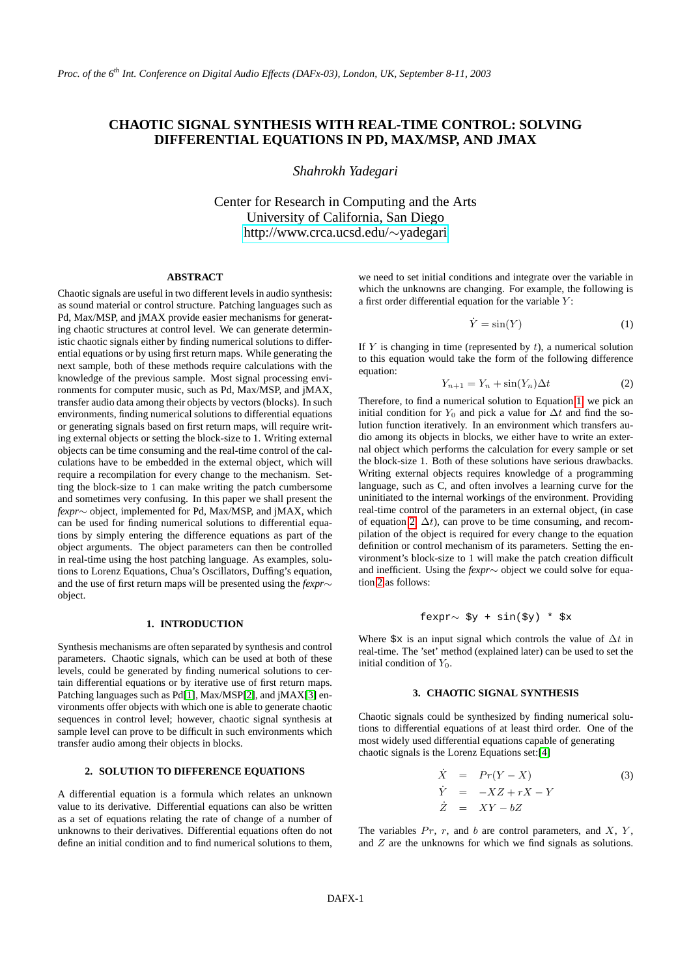# **CHAOTIC SIGNAL SYNTHESIS WITH REAL-TIME CONTROL: SOLVING DIFFERENTIAL EQUATIONS IN PD, MAX/MSP, AND JMAX**

*Shahrokh Yadegari*

Center for Research in Computing and the Arts University of California, San Diego [http://www.crca.ucsd.edu/](http://www.crca.ucsd.edu/~yadegari)∼yadegari

# **ABSTRACT**

Chaotic signals are useful in two different levels in audio synthesis: as sound material or control structure. Patching languages such as Pd, Max/MSP, and jMAX provide easier mechanisms for generating chaotic structures at control level. We can generate deterministic chaotic signals either by finding numerical solutions to differential equations or by using first return maps. While generating the next sample, both of these methods require calculations with the knowledge of the previous sample. Most signal processing environments for computer music, such as Pd, Max/MSP, and jMAX, transfer audio data among their objects by vectors (blocks). In such environments, finding numerical solutions to differential equations or generating signals based on first return maps, will require writing external objects or setting the block-size to 1. Writing external objects can be time consuming and the real-time control of the calculations have to be embedded in the external object, which will require a recompilation for every change to the mechanism. Setting the block-size to 1 can make writing the patch cumbersome and sometimes very confusing. In this paper we shall present the *fexpr*∼ object, implemented for Pd, Max/MSP, and jMAX, which can be used for finding numerical solutions to differential equations by simply entering the difference equations as part of the object arguments. The object parameters can then be controlled in real-time using the host patching language. As examples, solutions to Lorenz Equations, Chua's Oscillators, Duffing's equation, and the use of first return maps will be presented using the *fexpr*∼ object.

## **1. INTRODUCTION**

Synthesis mechanisms are often separated by synthesis and control parameters. Chaotic signals, which can be used at both of these levels, could be generated by finding numerical solutions to certain differential equations or by iterative use of first return maps. Patching languages such as Pd[\[1\]](#page-3-0), Max/MSP[\[2\]](#page-3-1), and jMAX[\[3\]](#page-3-2) environments offer objects with which one is able to generate chaotic sequences in control level; however, chaotic signal synthesis at sample level can prove to be difficult in such environments which transfer audio among their objects in blocks.

# **2. SOLUTION TO DIFFERENCE EQUATIONS**

A differential equation is a formula which relates an unknown value to its derivative. Differential equations can also be written as a set of equations relating the rate of change of a number of unknowns to their derivatives. Differential equations often do not define an initial condition and to find numerical solutions to them,

we need to set initial conditions and integrate over the variable in which the unknowns are changing. For example, the following is a first order differential equation for the variable  $Y$ :

<span id="page-0-0"></span>
$$
\dot{Y} = \sin(Y) \tag{1}
$$

If  $Y$  is changing in time (represented by  $t$ ), a numerical solution to this equation would take the form of the following difference equation:

<span id="page-0-1"></span>
$$
Y_{n+1} = Y_n + \sin(Y_n)\Delta t \tag{2}
$$

Therefore, to find a numerical solution to Equation [1,](#page-0-0) we pick an initial condition for  $Y_0$  and pick a value for  $\Delta t$  and find the solution function iteratively. In an environment which transfers audio among its objects in blocks, we either have to write an external object which performs the calculation for every sample or set the block-size 1. Both of these solutions have serious drawbacks. Writing external objects requires knowledge of a programming language, such as C, and often involves a learning curve for the uninitiated to the internal workings of the environment. Providing real-time control of the parameters in an external object, (in case of equation [2,](#page-0-1)  $\Delta t$ ), can prove to be time consuming, and recompilation of the object is required for every change to the equation definition or control mechanism of its parameters. Setting the environment's block-size to 1 will make the patch creation difficult and inefficient. Using the *fexpr*∼ object we could solve for equation [2](#page-0-1) as follows:

$$
fexpr \sim \$y + sin(\$y) * \$x
$$

Where  $\frac{1}{2}$  is an input signal which controls the value of  $\Delta t$  in real-time. The 'set' method (explained later) can be used to set the initial condition of  $Y_0$ .

### **3. CHAOTIC SIGNAL SYNTHESIS**

Chaotic signals could be synthesized by finding numerical solutions to differential equations of at least third order. One of the most widely used differential equations capable of generating chaotic signals is the Lorenz Equations set:[\[4\]](#page-3-3)

<span id="page-0-2"></span>
$$
\dot{X} = Pr(Y - X) \tag{3}
$$
\n
$$
\dot{Y} = -XZ + rX - Y \tag{3}
$$
\n
$$
\dot{Z} = XY - bZ
$$

The variables  $Pr$ , r, and b are control parameters, and  $X$ ,  $Y$ , and Z are the unknowns for which we find signals as solutions.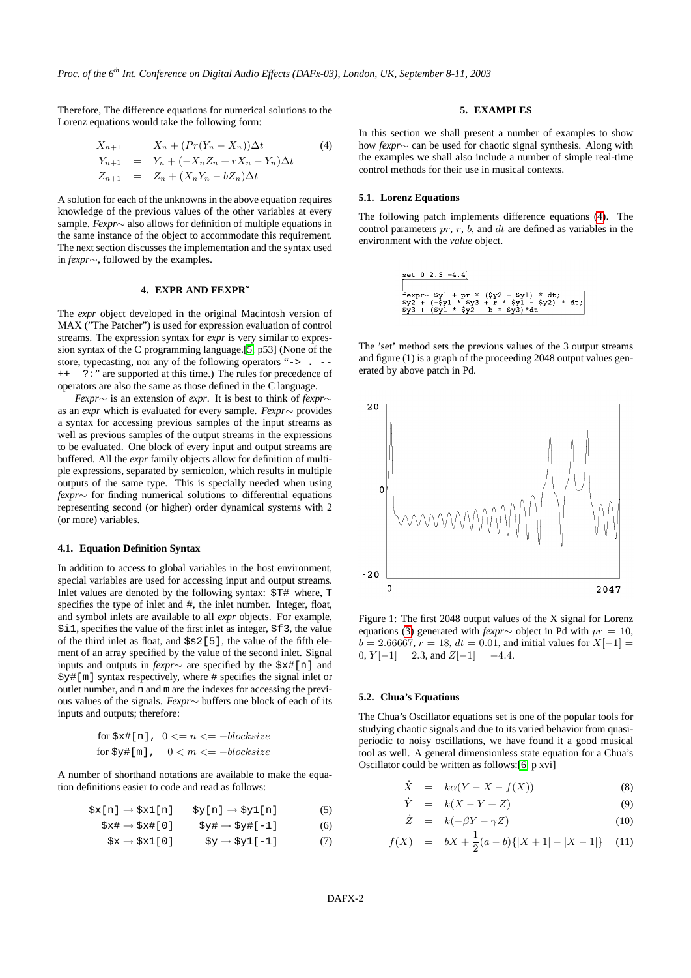Therefore, The difference equations for numerical solutions to the Lorenz equations would take the following form:

<span id="page-1-0"></span>
$$
X_{n+1} = X_n + (Pr(Y_n - X_n))\Delta t
$$
  
\n
$$
Y_{n+1} = Y_n + (-X_n Z_n + rX_n - Y_n)\Delta t
$$
  
\n
$$
Z_{n+1} = Z_n + (X_n Y_n - bZ_n)\Delta t
$$
  
\n(4)

A solution for each of the unknowns in the above equation requires knowledge of the previous values of the other variables at every sample. *Fexpr*∼ also allows for definition of multiple equations in the same instance of the object to accommodate this requirement. The next section discusses the implementation and the syntax used in *fexpr*∼, followed by the examples.

# **4. EXPR AND FEXPR˜**

The *expr* object developed in the original Macintosh version of MAX ("The Patcher") is used for expression evaluation of control streams. The expression syntax for *expr* is very similar to expression syntax of the C programming language.[\[5,](#page-3-4) p53] (None of the store, typecasting, nor any of the following operators "-> . --++ ?:" are supported at this time.) The rules for precedence of operators are also the same as those defined in the C language.

*Fexpr*∼ is an extension of *expr*. It is best to think of *fexpr*∼ as an *expr* which is evaluated for every sample. *Fexpr*∼ provides a syntax for accessing previous samples of the input streams as well as previous samples of the output streams in the expressions to be evaluated. One block of every input and output streams are buffered. All the *expr* family objects allow for definition of multiple expressions, separated by semicolon, which results in multiple outputs of the same type. This is specially needed when using *fexpr*∼ for finding numerical solutions to differential equations representing second (or higher) order dynamical systems with 2 (or more) variables.

#### **4.1. Equation Definition Syntax**

In addition to access to global variables in the host environment, special variables are used for accessing input and output streams. Inlet values are denoted by the following syntax: \$T# where, T specifies the type of inlet and #, the inlet number. Integer, float, and symbol inlets are available to all *expr* objects. For example, \$i1, specifies the value of the first inlet as integer, \$f3, the value of the third inlet as float, and  $$s2[5]$ , the value of the fifth element of an array specified by the value of the second inlet. Signal inputs and outputs in *fexpr*∼ are specified by the \$x#[n] and \$y#[m] syntax respectively, where # specifies the signal inlet or outlet number, and n and m are the indexes for accessing the previous values of the signals. *Fexpr*∼ buffers one block of each of its inputs and outputs; therefore:

for 
$$
\xi x \neq [n]
$$
,  $0 \le n \le -$  blocksize  
for  $\xi y \neq [m]$ ,  $0 \le m \le -$  blocksize

A number of shorthand notations are available to make the equation definitions easier to code and read as follows:

$$
$x[n] \rightarrow $x1[n] \qquad $y[n] \rightarrow $y1[n] \tag{5}
$$

$$
\$x\# \to \$x\#[0] \qquad \$y\# \to \$y\#[-1] \tag{6}
$$

$$
\$x \to \$x1[0] \qquad \$y \to \$y1[-1] \qquad (7)
$$

# **5. EXAMPLES**

In this section we shall present a number of examples to show how *fexpr*∼ can be used for chaotic signal synthesis. Along with the examples we shall also include a number of simple real-time control methods for their use in musical contexts.

#### **5.1. Lorenz Equations**

The following patch implements difference equations [\(4\)](#page-1-0). The control parameters  $pr$ ,  $r$ ,  $b$ , and  $dt$  are defined as variables in the environment with the *value* object.

The 'set' method sets the previous values of the 3 output streams and figure (1) is a graph of the proceeding 2048 output values generated by above patch in Pd.



Figure 1: The first 2048 output values of the X signal for Lorenz equations [\(3\)](#page-0-2) generated with *fexpr*∼ object in Pd with pr = 10,  $b = 2.66667, r = 18, dt = 0.01$ , and initial values for  $X[-1] =$ 0,  $Y[-1] = 2.3$ , and  $Z[-1] = -4.4$ .

#### **5.2. Chua's Equations**

The Chua's Oscillator equations set is one of the popular tools for studying chaotic signals and due to its varied behavior from quasiperiodic to noisy oscillations, we have found it a good musical tool as well. A general dimensionless state equation for a Chua's Oscillator could be written as follows:[\[6,](#page-3-5) p xvi]

$$
\dot{X} = k\alpha (Y - X - f(X)) \tag{8}
$$

<span id="page-1-1"></span>
$$
\dot{Y} = k(X - Y + Z) \tag{9}
$$

$$
\dot{Z} = k(-\beta Y - \gamma Z) \tag{10}
$$

$$
f(X) = bX + \frac{1}{2}(a - b)\{|X + 1| - |X - 1|\} \tag{11}
$$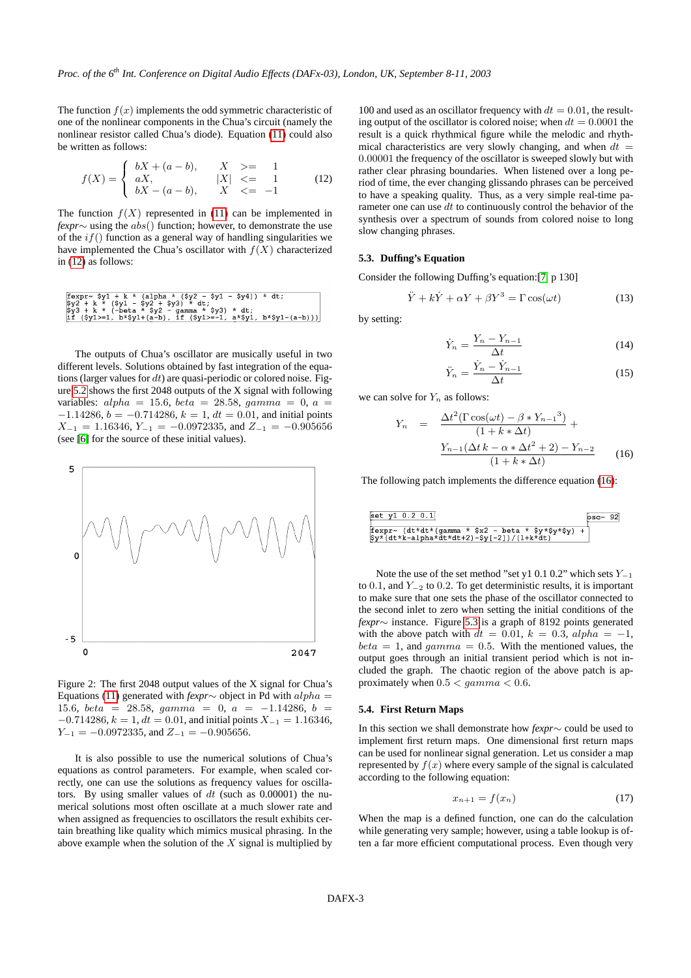The function  $f(x)$  implements the odd symmetric characteristic of one of the nonlinear components in the Chua's circuit (namely the nonlinear resistor called Chua's diode). Equation [\(11\)](#page-1-1) could also be written as follows:

<span id="page-2-0"></span>
$$
f(X) = \begin{cases} bX + (a - b), & X \geq 1 \\ aX, & |X| < = 1 \\ bX - (a - b), & X < = -1 \end{cases} \tag{12}
$$

The function  $f(X)$  represented in [\(11\)](#page-1-1) can be implemented in *fexpr*∼ using the *abs*() function; however, to demonstrate the use of the  $if()$  function as a general way of handling singularities we have implemented the Chua's oscillator with  $f(X)$  characterized in [\(12\)](#page-2-0) as follows:

$$
\begin{array}{lcl}\n\texttt{fexpr~}\n\texttt{Syn} > 1 + k < (\text{alpha} \times (Sy2 - Sy1 - Sy4)) < dt; \\
\texttt{Sy2 + k} < (Sy1 - Sy2 + Sy3) < dt; \\
\texttt{Sy3 + k} < (-beta \times Sy2 - gamma \times Sy3) < dt; \\
\texttt{if} (Sy1 >=1, b * \$y1 + (a - b)) < \text{if} (sy1 >=-1, a * \$y1, b * \$y1 - (a - b)))\n\end{array}
$$

The outputs of Chua's oscillator are musically useful in two different levels. Solutions obtained by fast integration of the equations (larger values for  $dt$ ) are quasi-periodic or colored noise. Figure [5.2](#page-2-0) shows the first 2048 outputs of the X signal with following variables:  $alpha = 15.6$ ,  $beta = 28.58$ ,  $gamma = 0$ ,  $a =$  $-1.14286, b = -0.714286, k = 1, dt = 0.01$ , and initial points  $X_{-1} = 1.16346, Y_{-1} = -0.0972335,$  and  $Z_{-1} = -0.905656$ (see [\[6\]](#page-3-5) for the source of these initial values).



Figure 2: The first 2048 output values of the X signal for Chua's Equations [\(11\)](#page-1-1) generated with *fexpr*∼ object in Pd with alpha = 15.6, beta = 28.58, gamma = 0, a =  $-1.14286$ , b =  $-0.714286, k = 1, dt = 0.01$ , and initial points  $X_{-1} = 1.16346$ ,  $Y_{-1} = -0.0972335$ , and  $Z_{-1} = -0.905656$ .

It is also possible to use the numerical solutions of Chua's equations as control parameters. For example, when scaled correctly, one can use the solutions as frequency values for oscillators. By using smaller values of  $dt$  (such as 0.00001) the numerical solutions most often oscillate at a much slower rate and when assigned as frequencies to oscillators the result exhibits certain breathing like quality which mimics musical phrasing. In the above example when the solution of the  $X$  signal is multiplied by

100 and used as an oscillator frequency with  $dt = 0.01$ , the resulting output of the oscillator is colored noise; when  $dt = 0.0001$  the result is a quick rhythmical figure while the melodic and rhythmical characteristics are very slowly changing, and when  $dt =$ 0.00001 the frequency of the oscillator is sweeped slowly but with rather clear phrasing boundaries. When listened over a long period of time, the ever changing glissando phrases can be perceived to have a speaking quality. Thus, as a very simple real-time parameter one can use  $dt$  to continuously control the behavior of the synthesis over a spectrum of sounds from colored noise to long slow changing phrases.

# **5.3. Duffing's Equation**

Consider the following Duffing's equation:[\[7,](#page-3-6) p 130]

$$
\ddot{Y} + k\dot{Y} + \alpha Y + \beta Y^3 = \Gamma \cos(\omega t)
$$
 (13)

by setting:

$$
\dot{Y}_n = \frac{Y_n - Y_{n-1}}{\Delta t} \tag{14}
$$

$$
\ddot{Y}_n = \frac{\dot{Y}_n - \dot{Y}_{n-1}}{\Delta t} \tag{15}
$$

we can solve for  $Y_n$  as follows:

<span id="page-2-1"></span>
$$
Y_n = \frac{\Delta t^2 (\Gamma \cos(\omega t) - \beta * Y_{n-1}^3)}{(1 + k * \Delta t)} +
$$

$$
\frac{Y_{n-1}(\Delta t k - \alpha * \Delta t^2 + 2) - Y_{n-2}}{(1 + k * \Delta t)}
$$
(16)

The following patch implements the difference equation [\(16\)](#page-2-1):

Note the use of the set method "set y1 0.1 0.2" which sets  $Y_{-1}$ to 0.1, and  $Y_{-2}$  to 0.2. To get deterministic results, it is important to make sure that one sets the phase of the oscillator connected to the second inlet to zero when setting the initial conditions of the *fexpr*∼ instance. Figure [5.3](#page-2-1) is a graph of 8192 points generated with the above patch with  $dt = 0.01$ ,  $k = 0.3$ ,  $alpha = -1$ ,  $beta = 1$ , and  $gamma = 0.5$ . With the mentioned values, the output goes through an initial transient period which is not included the graph. The chaotic region of the above patch is approximately when  $0.5 < gamma < 0.6$ .

#### **5.4. First Return Maps**

In this section we shall demonstrate how *fexpr*∼ could be used to implement first return maps. One dimensional first return maps can be used for nonlinear signal generation. Let us consider a map represented by  $f(x)$  where every sample of the signal is calculated according to the following equation:

$$
x_{n+1} = f(x_n) \tag{17}
$$

When the map is a defined function, one can do the calculation while generating very sample; however, using a table lookup is often a far more efficient computational process. Even though very